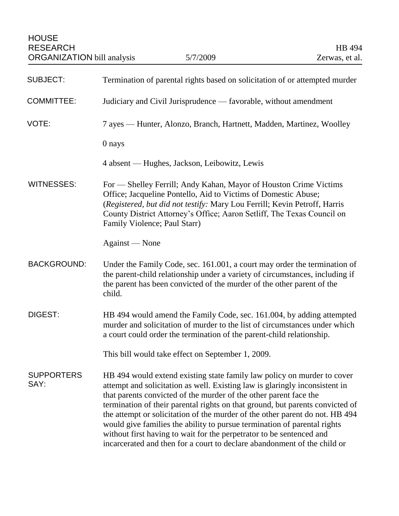| <b>SUBJECT:</b>           | Termination of parental rights based on solicitation of or attempted murder                                                                                                                                                                                                                                                                                                                                                                                                                                                                                                                                                  |
|---------------------------|------------------------------------------------------------------------------------------------------------------------------------------------------------------------------------------------------------------------------------------------------------------------------------------------------------------------------------------------------------------------------------------------------------------------------------------------------------------------------------------------------------------------------------------------------------------------------------------------------------------------------|
| <b>COMMITTEE:</b>         | Judiciary and Civil Jurisprudence — favorable, without amendment                                                                                                                                                                                                                                                                                                                                                                                                                                                                                                                                                             |
| VOTE:                     | 7 ayes — Hunter, Alonzo, Branch, Hartnett, Madden, Martinez, Woolley                                                                                                                                                                                                                                                                                                                                                                                                                                                                                                                                                         |
|                           | 0 nays                                                                                                                                                                                                                                                                                                                                                                                                                                                                                                                                                                                                                       |
|                           | 4 absent — Hughes, Jackson, Leibowitz, Lewis                                                                                                                                                                                                                                                                                                                                                                                                                                                                                                                                                                                 |
| <b>WITNESSES:</b>         | For — Shelley Ferrill; Andy Kahan, Mayor of Houston Crime Victims<br>Office; Jacqueline Pontello, Aid to Victims of Domestic Abuse;<br>(Registered, but did not testify: Mary Lou Ferrill; Kevin Petroff, Harris<br>County District Attorney's Office; Aaron Setliff, The Texas Council on<br>Family Violence; Paul Starr)                                                                                                                                                                                                                                                                                                   |
|                           | Against — None                                                                                                                                                                                                                                                                                                                                                                                                                                                                                                                                                                                                               |
| <b>BACKGROUND:</b>        | Under the Family Code, sec. 161.001, a court may order the termination of<br>the parent-child relationship under a variety of circumstances, including if<br>the parent has been convicted of the murder of the other parent of the<br>child.                                                                                                                                                                                                                                                                                                                                                                                |
| DIGEST:                   | HB 494 would amend the Family Code, sec. 161.004, by adding attempted<br>murder and solicitation of murder to the list of circumstances under which<br>a court could order the termination of the parent-child relationship.                                                                                                                                                                                                                                                                                                                                                                                                 |
|                           | This bill would take effect on September 1, 2009.                                                                                                                                                                                                                                                                                                                                                                                                                                                                                                                                                                            |
| <b>SUPPORTERS</b><br>SAY: | HB 494 would extend existing state family law policy on murder to cover<br>attempt and solicitation as well. Existing law is glaringly inconsistent in<br>that parents convicted of the murder of the other parent face the<br>termination of their parental rights on that ground, but parents convicted of<br>the attempt or solicitation of the murder of the other parent do not. HB 494<br>would give families the ability to pursue termination of parental rights<br>without first having to wait for the perpetrator to be sentenced and<br>incarcerated and then for a court to declare abandonment of the child or |